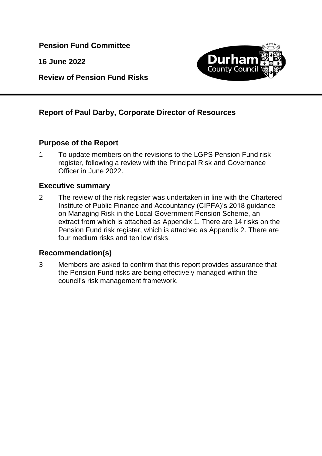**Pension Fund Committee**

**16 June 2022**

**Review of Pension Fund Risks**



## **Report of Paul Darby, Corporate Director of Resources**

#### **Purpose of the Report**

1 To update members on the revisions to the LGPS Pension Fund risk register, following a review with the Principal Risk and Governance Officer in June 2022.

#### **Executive summary**

2 The review of the risk register was undertaken in line with the Chartered Institute of Public Finance and Accountancy (CIPFA)'s 2018 guidance on Managing Risk in the Local Government Pension Scheme, an extract from which is attached as Appendix 1. There are 14 risks on the Pension Fund risk register, which is attached as Appendix 2. There are four medium risks and ten low risks.

#### **Recommendation(s)**

3 Members are asked to confirm that this report provides assurance that the Pension Fund risks are being effectively managed within the council's risk management framework.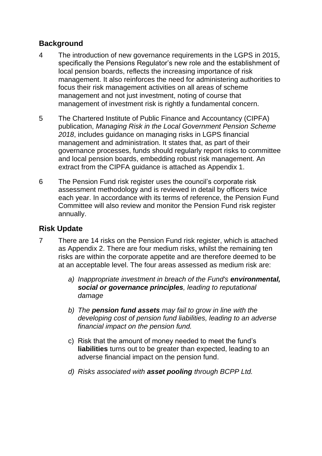### **Background**

- 4 The introduction of new governance requirements in the LGPS in 2015, specifically the Pensions Regulator's new role and the establishment of local pension boards, reflects the increasing importance of risk management. It also reinforces the need for administering authorities to focus their risk management activities on all areas of scheme management and not just investment, noting of course that management of investment risk is rightly a fundamental concern.
- 5 The Chartered Institute of Public Finance and Accountancy (CIPFA) publication, *Managing Risk in the Local Government Pension Scheme 2018*, includes guidance on managing risks in LGPS financial management and administration. It states that, as part of their governance processes, funds should regularly report risks to committee and local pension boards, embedding robust risk management. An extract from the CIPFA guidance is attached as Appendix 1.
- 6 The Pension Fund risk register uses the council's corporate risk assessment methodology and is reviewed in detail by officers twice each year. In accordance with its terms of reference, the Pension Fund Committee will also review and monitor the Pension Fund risk register annually.

#### **Risk Update**

- 7 There are 14 risks on the Pension Fund risk register, which is attached as Appendix 2. There are four medium risks, whilst the remaining ten risks are within the corporate appetite and are therefore deemed to be at an acceptable level. The four areas assessed as medium risk are:
	- *a) Inappropriate investment in breach of the Fund's environmental, social or governance principles, leading to reputational damage*
	- *b) The pension fund assets may fail to grow in line with the developing cost of pension fund liabilities, leading to an adverse financial impact on the pension fund.*
	- c) Risk that the amount of money needed to meet the fund's **liabilities** turns out to be greater than expected, leading to an adverse financial impact on the pension fund.
	- *d) Risks associated with asset pooling through BCPP Ltd.*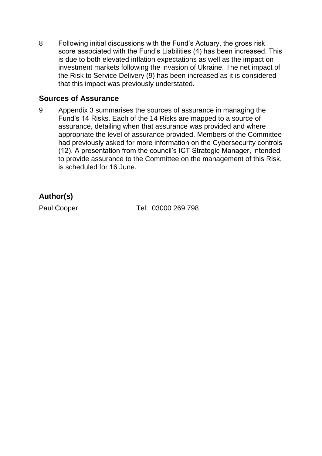8 Following initial discussions with the Fund's Actuary, the gross risk score associated with the Fund's Liabilities (4) has been increased. This is due to both elevated inflation expectations as well as the impact on investment markets following the invasion of Ukraine. The net impact of the Risk to Service Delivery (9) has been increased as it is considered that this impact was previously understated.

#### **Sources of Assurance**

9 Appendix 3 summarises the sources of assurance in managing the Fund's 14 Risks. Each of the 14 Risks are mapped to a source of assurance, detailing when that assurance was provided and where appropriate the level of assurance provided. Members of the Committee had previously asked for more information on the Cybersecurity controls (12). A presentation from the council's ICT Strategic Manager, intended to provide assurance to the Committee on the management of this Risk, is scheduled for 16 June.

## **Author(s)**

Paul Cooper Tel: 03000 269 798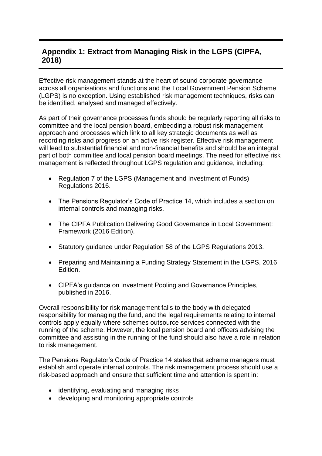## **Appendix 1: Extract from Managing Risk in the LGPS (CIPFA, 2018)**

Effective risk management stands at the heart of sound corporate governance across all organisations and functions and the Local Government Pension Scheme (LGPS) is no exception. Using established risk management techniques, risks can be identified, analysed and managed effectively.

As part of their governance processes funds should be regularly reporting all risks to committee and the local pension board, embedding a robust risk management approach and processes which link to all key strategic documents as well as recording risks and progress on an active risk register. Effective risk management will lead to substantial financial and non-financial benefits and should be an integral part of both committee and local pension board meetings. The need for effective risk management is reflected throughout LGPS regulation and guidance, including:

- Regulation 7 of the LGPS (Management and Investment of Funds) Regulations 2016.
- The Pensions Regulator's Code of Practice 14, which includes a section on internal controls and managing risks.
- The CIPFA Publication Delivering Good Governance in Local Government: Framework (2016 Edition).
- Statutory guidance under Regulation 58 of the LGPS Regulations 2013.
- Preparing and Maintaining a Funding Strategy Statement in the LGPS, 2016 Edition.
- CIPFA's guidance on Investment Pooling and Governance Principles, published in 2016.

Overall responsibility for risk management falls to the body with delegated responsibility for managing the fund, and the legal requirements relating to internal controls apply equally where schemes outsource services connected with the running of the scheme. However, the local pension board and officers advising the committee and assisting in the running of the fund should also have a role in relation to risk management.

The Pensions Regulator's Code of Practice 14 states that scheme managers must establish and operate internal controls. The risk management process should use a risk-based approach and ensure that sufficient time and attention is spent in:

- identifying, evaluating and managing risks
- developing and monitoring appropriate controls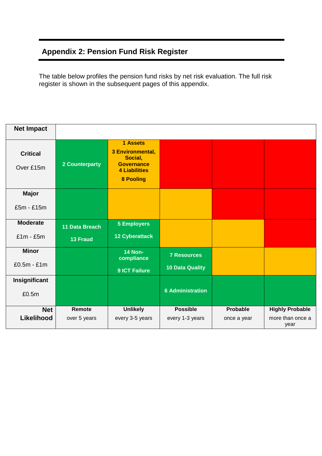## **Appendix 2: Pension Fund Risk Register**

The table below profiles the pension fund risks by net risk evaluation. The full risk register is shown in the subsequent pages of this appendix.

| <b>Net Impact</b>              |                                   |                                                                                                          |                                              |                                |                                                    |
|--------------------------------|-----------------------------------|----------------------------------------------------------------------------------------------------------|----------------------------------------------|--------------------------------|----------------------------------------------------|
| <b>Critical</b><br>Over £15m   | 2 Counterparty                    | 1 Assets<br>3 Environmental,<br>Social,<br><b>Governance</b><br><b>4 Liabilities</b><br><b>8 Pooling</b> |                                              |                                |                                                    |
| Major<br>£5m - £15m            |                                   |                                                                                                          |                                              |                                |                                                    |
| <b>Moderate</b><br>$£1m - £5m$ | 11 Data Breach<br><b>13 Fraud</b> | <b>5 Employers</b><br><b>12 Cyberattack</b>                                                              |                                              |                                |                                                    |
| <b>Minor</b><br>$£0.5m - £1m$  |                                   | <b>14 Non-</b><br>compliance<br>9 ICT Failure                                                            | <b>7 Resources</b><br><b>10 Data Quality</b> |                                |                                                    |
| Insignificant<br>£0.5m         |                                   |                                                                                                          | <b>6 Administration</b>                      |                                |                                                    |
| <b>Net</b><br>Likelihood       | Remote<br>over 5 years            | <b>Unlikely</b><br>every 3-5 years                                                                       | <b>Possible</b><br>every 1-3 years           | <b>Probable</b><br>once a year | <b>Highly Probable</b><br>more than once a<br>year |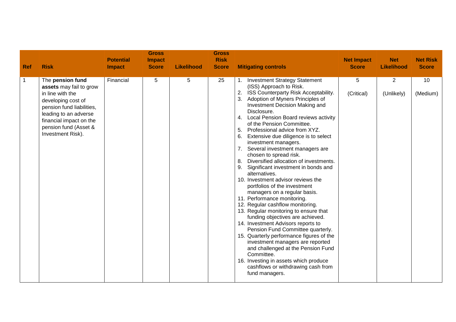| <b>Ref</b>   | <b>Risk</b>                                                                                                                                                                                                          | <b>Potential</b><br><b>Impact</b> | <b>Gross</b><br><b>Impact</b><br><b>Score</b> | <b>Likelihood</b> | <b>Gross</b><br><b>Risk</b><br><b>Score</b> | <b>Mitigating controls</b>                                                                                                                                                                                                                                                                                                                                                                                                                                                                                                                                                                                                                                                                                                                                                                                                                                                                                                                                                                                                                                                                                                                  | <b>Net Impact</b><br><b>Score</b> | <b>Net</b><br><b>Likelihood</b> | <b>Net Risk</b><br><b>Score</b> |
|--------------|----------------------------------------------------------------------------------------------------------------------------------------------------------------------------------------------------------------------|-----------------------------------|-----------------------------------------------|-------------------|---------------------------------------------|---------------------------------------------------------------------------------------------------------------------------------------------------------------------------------------------------------------------------------------------------------------------------------------------------------------------------------------------------------------------------------------------------------------------------------------------------------------------------------------------------------------------------------------------------------------------------------------------------------------------------------------------------------------------------------------------------------------------------------------------------------------------------------------------------------------------------------------------------------------------------------------------------------------------------------------------------------------------------------------------------------------------------------------------------------------------------------------------------------------------------------------------|-----------------------------------|---------------------------------|---------------------------------|
| $\mathbf{1}$ | The pension fund<br>assets may fail to grow<br>in line with the<br>developing cost of<br>pension fund liabilities,<br>leading to an adverse<br>financial impact on the<br>pension fund (Asset &<br>Investment Risk). | Financial                         | 5                                             | 5                 | 25                                          | <b>Investment Strategy Statement</b><br>(ISS) Approach to Risk.<br>2. ISS Counterparty Risk Acceptability.<br>3.<br>Adoption of Myners Principles of<br>Investment Decision Making and<br>Disclosure.<br>4. Local Pension Board reviews activity<br>of the Pension Committee.<br>5.<br>Professional advice from XYZ.<br>6.<br>Extensive due diligence is to select<br>investment managers.<br>Several investment managers are<br>chosen to spread risk.<br>Diversified allocation of investments.<br>8.<br>9.<br>Significant investment in bonds and<br>alternatives.<br>10. Investment advisor reviews the<br>portfolios of the investment<br>managers on a regular basis.<br>11. Performance monitoring.<br>12. Regular cashflow monitoring.<br>13. Regular monitoring to ensure that<br>funding objectives are achieved.<br>14. Investment Advisors reports to<br>Pension Fund Committee quarterly.<br>15. Quarterly performance figures of the<br>investment managers are reported<br>and challenged at the Pension Fund<br>Committee.<br>16. Investing in assets which produce<br>cashflows or withdrawing cash from<br>fund managers. | 5<br>(Critical)                   | $\overline{2}$<br>(Unlikely)    | 10<br>(Medium)                  |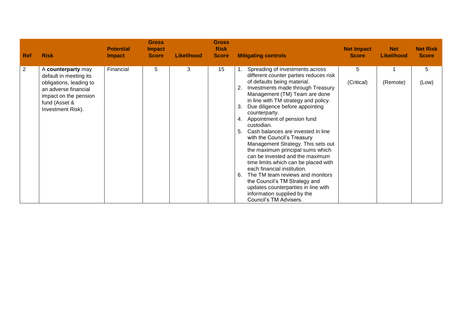| <b>Ref</b> | <b>Risk</b>                                                                                                                                                    | <b>Potential</b><br><b>Impact</b> | <b>Gross</b><br><b>Impact</b><br><b>Score</b> | <b>Likelihood</b> | <b>Gross</b><br><b>Risk</b><br><b>Score</b> | <b>Mitigating controls</b>                                                                                                                                                                                                                                                                                                                                                                                                                                                                                                                                                                                                                                                                                                                                                    | <b>Net Impact</b><br><b>Score</b> | <b>Net</b><br><b>Likelihood</b> | <b>Net Risk</b><br><b>Score</b> |
|------------|----------------------------------------------------------------------------------------------------------------------------------------------------------------|-----------------------------------|-----------------------------------------------|-------------------|---------------------------------------------|-------------------------------------------------------------------------------------------------------------------------------------------------------------------------------------------------------------------------------------------------------------------------------------------------------------------------------------------------------------------------------------------------------------------------------------------------------------------------------------------------------------------------------------------------------------------------------------------------------------------------------------------------------------------------------------------------------------------------------------------------------------------------------|-----------------------------------|---------------------------------|---------------------------------|
| 2          | A counterparty may<br>default in meeting its<br>obligations, leading to<br>an adverse financial<br>impact on the pension<br>fund (Asset &<br>Investment Risk). | Financial                         | 5                                             | 3                 | 15                                          | Spreading of investments across<br>different counter parties reduces risk<br>of defaults being material.<br>Investments made through Treasury<br>Management (TM) Team are done<br>in line with TM strategy and policy.<br>Due diligence before appointing<br>3.<br>counterparty.<br>Appointment of pension fund<br>4.<br>custodian.<br>Cash balances are invested in line<br>5.<br>with the Council's Treasury<br>Management Strategy. This sets out<br>the maximum principal sums which<br>can be invested and the maximum<br>time limits which can be placed with<br>each financial institution.<br>The TM team reviews and monitors<br>6.<br>the Council's TM Strategy and<br>updates counterparties in line with<br>information supplied by the<br>Council's TM Advisers. | 5<br>(Critical)                   | (Remote)                        | 5<br>(Low)                      |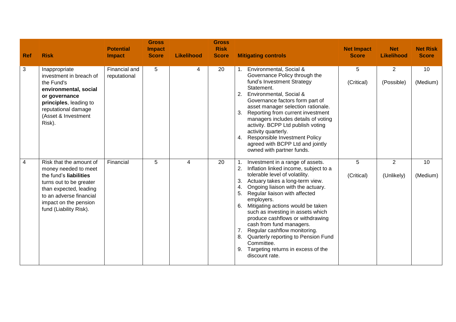| <b>Ref</b> | <b>Risk</b>                                                                                                                                                                                                  | <b>Potential</b><br><b>Impact</b> | <b>Gross</b><br><b>Impact</b><br><b>Score</b> | <b>Likelihood</b> | <b>Gross</b><br><b>Risk</b><br><b>Score</b> | <b>Mitigating controls</b>                                                                                                                                                                                                                                                                                                                                                                                                                                                                                                                                          | <b>Net Impact</b><br><b>Score</b> | <b>Net</b><br><b>Likelihood</b> | <b>Net Risk</b><br><b>Score</b> |
|------------|--------------------------------------------------------------------------------------------------------------------------------------------------------------------------------------------------------------|-----------------------------------|-----------------------------------------------|-------------------|---------------------------------------------|---------------------------------------------------------------------------------------------------------------------------------------------------------------------------------------------------------------------------------------------------------------------------------------------------------------------------------------------------------------------------------------------------------------------------------------------------------------------------------------------------------------------------------------------------------------------|-----------------------------------|---------------------------------|---------------------------------|
| 3          | Inappropriate<br>investment in breach of<br>the Fund's<br>environmental, social<br>or governance<br>principles, leading to<br>reputational damage<br>(Asset & Investment<br>Risk).                           | Financial and<br>reputational     | 5                                             | 4                 | 20                                          | Environmental, Social &<br>Governance Policy through the<br>fund's Investment Strategy<br>Statement.<br>Environmental, Social &<br>2.<br>Governance factors form part of<br>asset manager selection rationale.<br>Reporting from current investment<br>3.<br>managers includes details of voting<br>activity. BCPP Ltd publish voting<br>activity quarterly.<br><b>Responsible Investment Policy</b><br>4.<br>agreed with BCPP Ltd and jointly<br>owned with partner funds.                                                                                         | 5<br>(Critical)                   | $\overline{2}$<br>(Possible)    | 10<br>(Medium)                  |
| 4          | Risk that the amount of<br>money needed to meet<br>the fund's liabilities<br>turns out to be greater<br>than expected, leading<br>to an adverse financial<br>impact on the pension<br>fund (Liability Risk). | Financial                         | 5                                             | 4                 | 20                                          | Investment in a range of assets.<br>2.<br>Inflation linked income, subject to a<br>tolerable level of volatility.<br>Actuary takes a long-term view.<br>3.<br>Ongoing liaison with the actuary.<br>4.<br>Regular liaison with affected<br>5.<br>employers.<br>6.<br>Mitigating actions would be taken<br>such as investing in assets which<br>produce cashflows or withdrawing<br>cash from fund managers.<br>Regular cashflow monitoring.<br>Quarterly reporting to Pension Fund<br>8.<br>Committee.<br>Targeting returns in excess of the<br>9.<br>discount rate. | 5<br>(Critical)                   | 2<br>(Unlikely)                 | 10<br>(Medium)                  |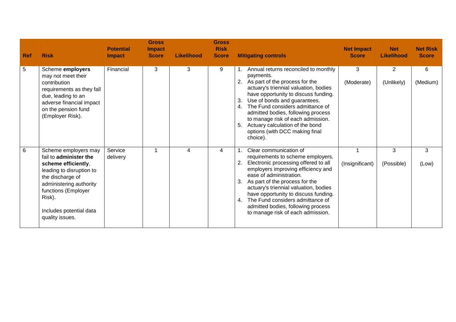| <b>Ref</b> | <b>Risk</b>                                                                                                                                                                                                                     | <b>Potential</b><br>Impact | <b>Gross</b><br><b>Impact</b><br><b>Score</b> | <b>Likelihood</b> | <b>Gross</b><br><b>Risk</b><br><b>Score</b> | <b>Mitigating controls</b>                                                                                                                                                                                                                                                                                                                                                                                                   | <b>Net Impact</b><br><b>Score</b> | <b>Net</b><br><b>Likelihood</b> | <b>Net Risk</b><br><b>Score</b> |
|------------|---------------------------------------------------------------------------------------------------------------------------------------------------------------------------------------------------------------------------------|----------------------------|-----------------------------------------------|-------------------|---------------------------------------------|------------------------------------------------------------------------------------------------------------------------------------------------------------------------------------------------------------------------------------------------------------------------------------------------------------------------------------------------------------------------------------------------------------------------------|-----------------------------------|---------------------------------|---------------------------------|
| 5          | Scheme employers<br>may not meet their<br>contribution<br>requirements as they fall<br>due, leading to an<br>adverse financial impact<br>on the pension fund<br>(Employer Risk).                                                | Financial                  | 3                                             | 3                 | 9                                           | Annual returns reconciled to monthly<br>payments.<br>As part of the process for the<br>2.<br>actuary's triennial valuation, bodies<br>have opportunity to discuss funding.<br>Use of bonds and guarantees.<br>3.<br>The Fund considers admittance of<br>4.<br>admitted bodies, following process<br>to manage risk of each admission.<br>Actuary calculation of the bond<br>5.<br>options (with DCC making final<br>choice). | 3<br>(Moderate)                   | $\overline{2}$<br>(Unlikely)    | 6<br>(Medium)                   |
| 6          | Scheme employers may<br>fail to administer the<br>scheme efficiently,<br>leading to disruption to<br>the discharge of<br>administering authority<br>functions (Employer<br>Risk).<br>Includes potential data<br>quality issues. | Service<br>delivery        |                                               | 4                 | 4                                           | Clear communication of<br>requirements to scheme employers.<br>Electronic processing offered to all<br>2.<br>employers improving efficiency and<br>ease of administration.<br>As part of the process for the<br>3.<br>actuary's triennial valuation, bodies<br>have opportunity to discuss funding.<br>The Fund considers admittance of<br>4.<br>admitted bodies, following process<br>to manage risk of each admission.     | (Insignificant)                   | 3<br>(Possible)                 | 3<br>(Low)                      |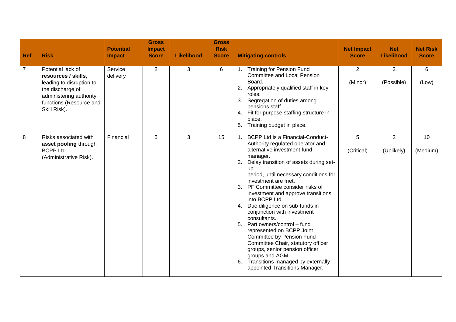| <b>Ref</b> | <b>Risk</b>                                                                                                                                                    | <b>Potential</b><br><b>Impact</b> | <b>Gross</b><br><b>Impact</b><br><b>Score</b> | <b>Likelihood</b> | <b>Gross</b><br><b>Risk</b><br><b>Score</b> | <b>Mitigating controls</b>                                                                                                                                                                                                                                                                                                                                                                                                                                                                                                                                                                                                                                                                                            | <b>Net Impact</b><br><b>Score</b> | <b>Net</b><br><b>Likelihood</b> | <b>Net Risk</b><br><b>Score</b> |
|------------|----------------------------------------------------------------------------------------------------------------------------------------------------------------|-----------------------------------|-----------------------------------------------|-------------------|---------------------------------------------|-----------------------------------------------------------------------------------------------------------------------------------------------------------------------------------------------------------------------------------------------------------------------------------------------------------------------------------------------------------------------------------------------------------------------------------------------------------------------------------------------------------------------------------------------------------------------------------------------------------------------------------------------------------------------------------------------------------------------|-----------------------------------|---------------------------------|---------------------------------|
| 7          | Potential lack of<br>resources / skills,<br>leading to disruption to<br>the discharge of<br>administering authority<br>functions (Resource and<br>Skill Risk). | Service<br>delivery               | $\overline{2}$                                | 3                 | 6                                           | <b>Training for Pension Fund</b><br><b>Committee and Local Pension</b><br>Board.<br>2. Appropriately qualified staff in key<br>roles.<br>Segregation of duties among<br>3.<br>pensions staff.<br>4. Fit for purpose staffing structure in<br>place.<br>Training budget in place.<br>5.                                                                                                                                                                                                                                                                                                                                                                                                                                | 2<br>(Minor)                      | 3<br>(Possible)                 | 6<br>(Low)                      |
| 8          | Risks associated with<br>asset pooling through<br><b>BCPP Ltd</b><br>(Administrative Risk).                                                                    | Financial                         | $\overline{5}$                                | 3                 | 15                                          | BCPP Ltd is a Financial-Conduct-<br>1 <sup>1</sup><br>Authority regulated operator and<br>alternative investment fund<br>manager.<br>Delay transition of assets during set-<br>2.<br>up<br>period, until necessary conditions for<br>investment are met.<br>3. PF Committee consider risks of<br>investment and approve transitions<br>into BCPP Ltd.<br>4. Due diligence on sub-funds in<br>conjunction with investment<br>consultants.<br>Part owners/control - fund<br>5.<br>represented on BCPP Joint<br><b>Committee by Pension Fund</b><br>Committee Chair, statutory officer<br>groups, senior pension officer<br>groups and AGM.<br>Transitions managed by externally<br>6.<br>appointed Transitions Manager. | 5<br>(Critical)                   | $\overline{2}$<br>(Unlikely)    | 10<br>(Medium)                  |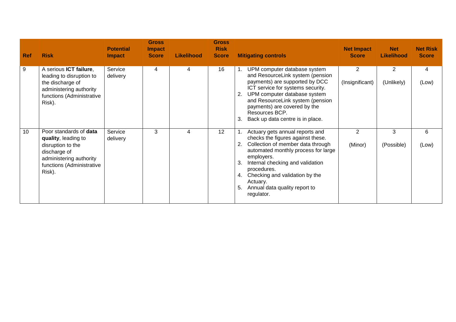| <b>Ref</b> | <b>Risk</b>                                                                                                                                          | <b>Potential</b><br><b>Impact</b> | <b>Gross</b><br><b>Impact</b><br><b>Score</b> | <b>Likelihood</b> | <b>Gross</b><br><b>Risk</b><br><b>Score</b> | <b>Mitigating controls</b>                                                                                                                                                                                                                                                                                                       | <b>Net Impact</b><br><b>Score</b> | <b>Net</b><br><b>Likelihood</b> | <b>Net Risk</b><br><b>Score</b> |
|------------|------------------------------------------------------------------------------------------------------------------------------------------------------|-----------------------------------|-----------------------------------------------|-------------------|---------------------------------------------|----------------------------------------------------------------------------------------------------------------------------------------------------------------------------------------------------------------------------------------------------------------------------------------------------------------------------------|-----------------------------------|---------------------------------|---------------------------------|
| 9          | A serious ICT failure,<br>leading to disruption to<br>the discharge of<br>administering authority<br>functions (Administrative<br>Risk).             | Service<br>delivery               | 4                                             | 4                 | 16                                          | UPM computer database system<br>and ResourceLink system (pension<br>payments) are supported by DCC<br>ICT service for systems security.<br>UPM computer database system<br>2.<br>and ResourceLink system (pension<br>payments) are covered by the<br>Resources BCP.<br>Back up data centre is in place.<br>3.                    | $\overline{2}$<br>(Insignificant) | 2<br>(Unlikely)                 | 4<br>(Low)                      |
| 10         | Poor standards of data<br>quality, leading to<br>disruption to the<br>discharge of<br>administering authority<br>functions (Administrative<br>Risk). | Service<br>delivery               | 3                                             |                   | 12                                          | Actuary gets annual reports and<br>checks the figures against these.<br>Collection of member data through<br>automated monthly process for large<br>employers.<br>Internal checking and validation<br>3.<br>procedures.<br>Checking and validation by the<br>4.<br>Actuary.<br>Annual data quality report to<br>5.<br>regulator. | $\overline{2}$<br>(Minor)         | 3<br>(Possible)                 | 6<br>(Low)                      |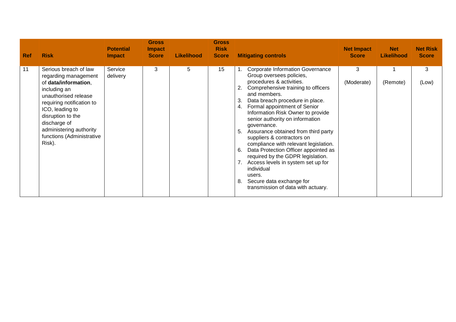| <b>Ref</b> | <b>Risk</b>                                                                                                                                                                                                                                                          | <b>Potential</b><br><b>Impact</b> | <b>Gross</b><br><b>Impact</b><br><b>Score</b> | <b>Likelihood</b> | <b>Gross</b><br><b>Risk</b><br><b>Score</b> | <b>Mitigating controls</b>                                                                                                                                                                                                                                                                                                                                                                                                                                                                                                                                                                                                                                                        | <b>Net Impact</b><br><b>Score</b> | <b>Net</b><br><b>Likelihood</b> | <b>Net Risk</b><br><b>Score</b> |
|------------|----------------------------------------------------------------------------------------------------------------------------------------------------------------------------------------------------------------------------------------------------------------------|-----------------------------------|-----------------------------------------------|-------------------|---------------------------------------------|-----------------------------------------------------------------------------------------------------------------------------------------------------------------------------------------------------------------------------------------------------------------------------------------------------------------------------------------------------------------------------------------------------------------------------------------------------------------------------------------------------------------------------------------------------------------------------------------------------------------------------------------------------------------------------------|-----------------------------------|---------------------------------|---------------------------------|
| 11         | Serious breach of law<br>regarding management<br>of data/information,<br>including an<br>unauthorised release<br>requiring notification to<br>ICO, leading to<br>disruption to the<br>discharge of<br>administering authority<br>functions (Administrative<br>Risk). | Service<br>delivery               | 3                                             | 5                 | 15                                          | <b>Corporate Information Governance</b><br>Group oversees policies,<br>procedures & activities.<br>Comprehensive training to officers<br>2.<br>and members.<br>Data breach procedure in place.<br>3.<br>Formal appointment of Senior<br>4.<br>Information Risk Owner to provide<br>senior authority on information<br>governance.<br>Assurance obtained from third party<br>5.<br>suppliers & contractors on<br>compliance with relevant legislation.<br>Data Protection Officer appointed as<br>6.<br>required by the GDPR legislation.<br>7. Access levels in system set up for<br>individual<br>users.<br>Secure data exchange for<br>8.<br>transmission of data with actuary. | 3<br>(Moderate)                   | (Remote)                        | 3<br>(Low)                      |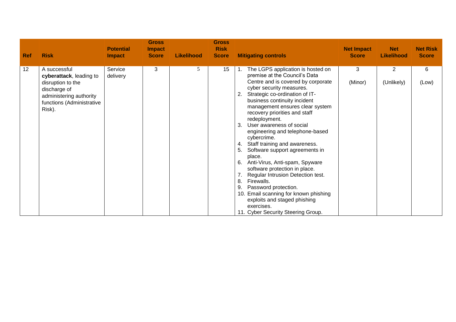| <b>Ref</b> | <b>Risk</b>                                                                                                                                    | <b>Potential</b><br><b>Impact</b> | <b>Gross</b><br><b>Impact</b><br><b>Score</b> | <b>Likelihood</b> | <b>Gross</b><br><b>Risk</b><br><b>Score</b> | <b>Mitigating controls</b>                                                                                                                                                                                                                                                                                                                                                                                                                                                                                                                                                                                                                                                                                                                                               | <b>Net Impact</b><br><b>Score</b> | <b>Net</b><br><b>Likelihood</b> | <b>Net Risk</b><br><b>Score</b> |
|------------|------------------------------------------------------------------------------------------------------------------------------------------------|-----------------------------------|-----------------------------------------------|-------------------|---------------------------------------------|--------------------------------------------------------------------------------------------------------------------------------------------------------------------------------------------------------------------------------------------------------------------------------------------------------------------------------------------------------------------------------------------------------------------------------------------------------------------------------------------------------------------------------------------------------------------------------------------------------------------------------------------------------------------------------------------------------------------------------------------------------------------------|-----------------------------------|---------------------------------|---------------------------------|
| 12         | A successful<br>cyberattack, leading to<br>disruption to the<br>discharge of<br>administering authority<br>functions (Administrative<br>Risk). | Service<br>delivery               | 3                                             | 5                 | 15                                          | The LGPS application is hosted on<br>premise at the Council's Data<br>Centre and is covered by corporate<br>cyber security measures.<br>Strategic co-ordination of IT-<br>2.<br>business continuity incident<br>management ensures clear system<br>recovery priorities and staff<br>redeployment.<br>User awareness of social<br>3.<br>engineering and telephone-based<br>cybercrime.<br>Staff training and awareness.<br>4.<br>5.<br>Software support agreements in<br>place.<br>6. Anti-Virus, Anti-spam, Spyware<br>software protection in place.<br>Regular Intrusion Detection test.<br>8.<br>Firewalls.<br>Password protection.<br>9.<br>10. Email scanning for known phishing<br>exploits and staged phishing<br>exercises.<br>11. Cyber Security Steering Group. | 3<br>(Minor)                      | $\overline{2}$<br>(Unlikely)    | $\,6$<br>(Low)                  |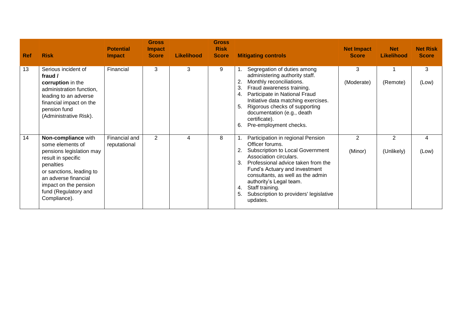| <b>Ref</b> | <b>Risk</b>                                                                                                                                                                                                                 | <b>Potential</b><br><b>Impact</b> | <b>Gross</b><br><b>Impact</b><br><b>Score</b> | <b>Likelihood</b> | <b>Gross</b><br><b>Risk</b><br><b>Score</b> | <b>Mitigating controls</b>                                                                                                                                                                                                                                                                                                                           | <b>Net Impact</b><br><b>Score</b> | <b>Net</b><br><b>Likelihood</b> | <b>Net Risk</b><br><b>Score</b> |
|------------|-----------------------------------------------------------------------------------------------------------------------------------------------------------------------------------------------------------------------------|-----------------------------------|-----------------------------------------------|-------------------|---------------------------------------------|------------------------------------------------------------------------------------------------------------------------------------------------------------------------------------------------------------------------------------------------------------------------------------------------------------------------------------------------------|-----------------------------------|---------------------------------|---------------------------------|
| 13         | Serious incident of<br>fraud /<br>corruption in the<br>administration function,<br>leading to an adverse<br>financial impact on the<br>pension fund<br>(Administrative Risk).                                               | Financial                         | 3                                             | 3                 | 9                                           | Segregation of duties among<br>administering authority staff.<br>Monthly reconciliations.<br>3.<br>Fraud awareness training.<br>Participate in National Fraud<br>4.<br>Initiative data matching exercises.<br>Rigorous checks of supporting<br>5.<br>documentation (e.g., death<br>certificate).<br>Pre-employment checks.<br>6.                     | 3<br>(Moderate)                   | (Remote)                        | 3<br>(Low)                      |
| 14         | Non-compliance with<br>some elements of<br>pensions legislation may<br>result in specific<br>penalties<br>or sanctions, leading to<br>an adverse financial<br>impact on the pension<br>fund (Regulatory and<br>Compliance). | Financial and<br>reputational     | $\overline{2}$                                | 4                 | 8                                           | Participation in regional Pension<br>Officer forums.<br>Subscription to Local Government<br>Association circulars.<br>3.<br>Professional advice taken from the<br>Fund's Actuary and investment<br>consultants, as well as the admin<br>authority's Legal team.<br>Staff training.<br>4.<br>Subscription to providers' legislative<br>5.<br>updates. | $\overline{2}$<br>(Minor)         | $\overline{2}$<br>(Unlikely)    | 4<br>(Low)                      |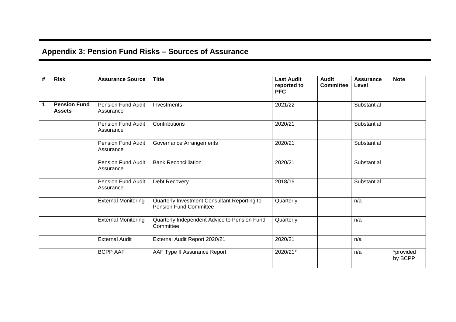# **Appendix 3: Pension Fund Risks – Sources of Assurance**

| $\#$ | <b>Risk</b>                          | <b>Assurance Source</b>                         | <b>Title</b>                                                                  | <b>Last Audit</b><br>reported to<br><b>PFC</b> | <b>Audit</b><br><b>Committee</b> | <b>Assurance</b><br>Level | <b>Note</b>          |
|------|--------------------------------------|-------------------------------------------------|-------------------------------------------------------------------------------|------------------------------------------------|----------------------------------|---------------------------|----------------------|
|      | <b>Pension Fund</b><br><b>Assets</b> | Pension Fund Audit<br>Assurance                 | Investments                                                                   | 2021/22                                        |                                  | Substantial               |                      |
|      |                                      | <b>Pension Fund Audit</b><br>Assurance          | Contributions                                                                 | 2020/21                                        |                                  | Substantial               |                      |
|      |                                      | Pension Fund Audit<br>Assurance                 | Governance Arrangements                                                       | 2020/21                                        |                                  | Substantial               |                      |
|      |                                      | Pension Fund Audit<br>Assurance                 | <b>Bank Reconcilliation</b>                                                   | 2020/21                                        |                                  | Substantial               |                      |
|      |                                      | Pension Fund Audit<br>Assurance                 | Debt Recovery                                                                 | 2018/19                                        |                                  | Substantial               |                      |
|      |                                      | <b>External Monitoring</b>                      | Quarterly Investment Consultant Reporting to<br><b>Pension Fund Committee</b> | Quarterly                                      |                                  | n/a                       |                      |
|      |                                      | <b>External Monitoring</b>                      | Quarterly Independent Advice to Pension Fund<br>Committee                     | Quarterly                                      |                                  | n/a                       |                      |
|      |                                      | <b>External Audit</b>                           | External Audit Report 2020/21                                                 | 2020/21                                        |                                  | n/a                       |                      |
|      |                                      | <b>BCPP AAF</b><br>AAF Type II Assurance Report |                                                                               | 2020/21*                                       |                                  | n/a                       | *provided<br>by BCPP |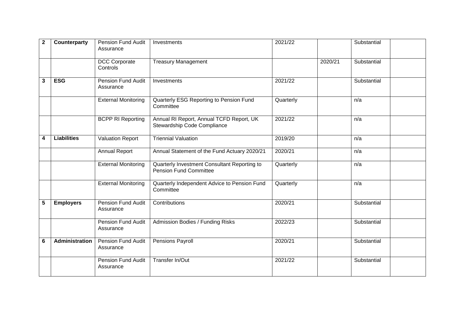| $\mathbf{2}$ | Counterparty       | Pension Fund Audit<br>Assurance        | Investments                                                                   | 2021/22   |         | Substantial |
|--------------|--------------------|----------------------------------------|-------------------------------------------------------------------------------|-----------|---------|-------------|
|              |                    | <b>DCC Corporate</b><br>Controls       | <b>Treasury Management</b>                                                    |           | 2020/21 | Substantial |
| 3            | <b>ESG</b>         | Pension Fund Audit<br>Assurance        | Investments                                                                   | 2021/22   |         | Substantial |
|              |                    | <b>External Monitoring</b>             | Quarterly ESG Reporting to Pension Fund<br>Committee                          | Quarterly |         | n/a         |
|              |                    | <b>BCPP RI Reporting</b>               | Annual RI Report, Annual TCFD Report, UK<br>Stewardship Code Compliance       | 2021/22   |         | n/a         |
| 4            | <b>Liabilities</b> | <b>Valuation Report</b>                | <b>Triennial Valuation</b>                                                    | 2019/20   |         | n/a         |
|              |                    | <b>Annual Report</b>                   | Annual Statement of the Fund Actuary 2020/21                                  | 2020/21   |         | n/a         |
|              |                    | <b>External Monitoring</b>             | Quarterly Investment Consultant Reporting to<br><b>Pension Fund Committee</b> | Quarterly |         | n/a         |
|              |                    | <b>External Monitoring</b>             | Quarterly Independent Advice to Pension Fund<br>Committee                     | Quarterly |         | n/a         |
| 5            | <b>Employers</b>   | <b>Pension Fund Audit</b><br>Assurance | Contributions                                                                 | 2020/21   |         | Substantial |
|              |                    | <b>Pension Fund Audit</b><br>Assurance | Admission Bodies / Funding Risks                                              | 2022/23   |         | Substantial |
| 6            | Administration     | Pension Fund Audit<br>Assurance        | Pensions Payroll                                                              | 2020/21   |         | Substantial |
|              |                    | Pension Fund Audit<br>Assurance        | Transfer In/Out                                                               | 2021/22   |         | Substantial |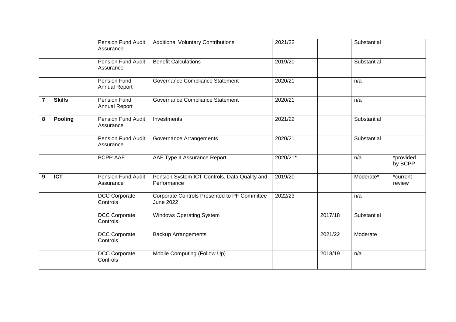|                |               | Pension Fund Audit<br>Assurance             | <b>Additional Voluntary Contributions</b>                               | 2021/22  |         | Substantial |                      |
|----------------|---------------|---------------------------------------------|-------------------------------------------------------------------------|----------|---------|-------------|----------------------|
|                |               | <b>Pension Fund Audit</b><br>Assurance      | <b>Benefit Calculations</b>                                             | 2019/20  |         | Substantial |                      |
|                |               | Pension Fund<br><b>Annual Report</b>        | Governance Compliance Statement                                         | 2020/21  |         | n/a         |                      |
| $\overline{7}$ | <b>Skills</b> | <b>Pension Fund</b><br><b>Annual Report</b> | Governance Compliance Statement                                         | 2020/21  |         | n/a         |                      |
| 8              | Pooling       | Pension Fund Audit<br>Assurance             | Investments                                                             | 2021/22  |         | Substantial |                      |
|                |               | Pension Fund Audit<br>Assurance             | Governance Arrangements                                                 | 2020/21  |         | Substantial |                      |
|                |               | <b>BCPP AAF</b>                             | AAF Type II Assurance Report                                            | 2020/21* |         | n/a         | *provided<br>by BCPP |
| 9              | <b>ICT</b>    | Pension Fund Audit<br>Assurance             | Pension System ICT Controls, Data Quality and<br>Performance            | 2019/20  |         | Moderate*   | *current<br>review   |
|                |               | <b>DCC Corporate</b><br>Controls            | <b>Corporate Controls Presented to PF Committee</b><br><b>June 2022</b> | 2022/23  |         | n/a         |                      |
|                |               | <b>DCC Corporate</b><br>Controls            | <b>Windows Operating System</b>                                         |          | 2017/18 | Substantial |                      |
|                |               | <b>DCC Corporate</b><br>Controls            | <b>Backup Arrangements</b>                                              |          | 2021/22 | Moderate    |                      |
|                |               | <b>DCC Corporate</b><br>Controls            | Mobile Computing (Follow Up)                                            |          | 2018/19 | n/a         |                      |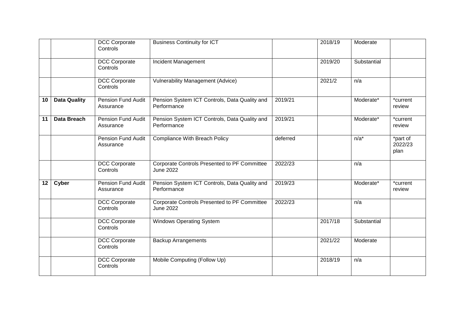|                 |                     | <b>DCC Corporate</b><br>Controls       | <b>Business Continuity for ICT</b>                                      |          | 2018/19 | Moderate    |                             |
|-----------------|---------------------|----------------------------------------|-------------------------------------------------------------------------|----------|---------|-------------|-----------------------------|
|                 |                     | <b>DCC Corporate</b><br>Controls       | Incident Management                                                     |          | 2019/20 | Substantial |                             |
|                 |                     | <b>DCC Corporate</b><br>Controls       | <b>Vulnerability Management (Advice)</b>                                |          | 2021/2  | n/a         |                             |
| 10              | <b>Data Quality</b> | Pension Fund Audit<br>Assurance        | Pension System ICT Controls, Data Quality and<br>Performance            | 2019/21  |         | Moderate*   | *current<br>review          |
| 11              | Data Breach         | Pension Fund Audit<br>Assurance        | Pension System ICT Controls, Data Quality and<br>Performance            | 2019/21  |         | Moderate*   | *current<br>review          |
|                 |                     | Pension Fund Audit<br>Assurance        | <b>Compliance With Breach Policy</b>                                    | deferred |         | $n/a^*$     | *part of<br>2022/23<br>plan |
|                 |                     | <b>DCC Corporate</b><br>Controls       | <b>Corporate Controls Presented to PF Committee</b><br><b>June 2022</b> | 2022/23  |         | n/a         |                             |
| 12 <sub>2</sub> | Cyber               | <b>Pension Fund Audit</b><br>Assurance | Pension System ICT Controls, Data Quality and<br>Performance            | 2019/23  |         | Moderate*   | *current<br>review          |
|                 |                     | <b>DCC Corporate</b><br>Controls       | Corporate Controls Presented to PF Committee<br><b>June 2022</b>        | 2022/23  |         | n/a         |                             |
|                 |                     | <b>DCC Corporate</b><br>Controls       | <b>Windows Operating System</b>                                         |          | 2017/18 | Substantial |                             |
|                 |                     | <b>DCC Corporate</b><br>Controls       | <b>Backup Arrangements</b>                                              |          | 2021/22 | Moderate    |                             |
|                 |                     | <b>DCC Corporate</b><br>Controls       | Mobile Computing (Follow Up)                                            |          | 2018/19 | n/a         |                             |